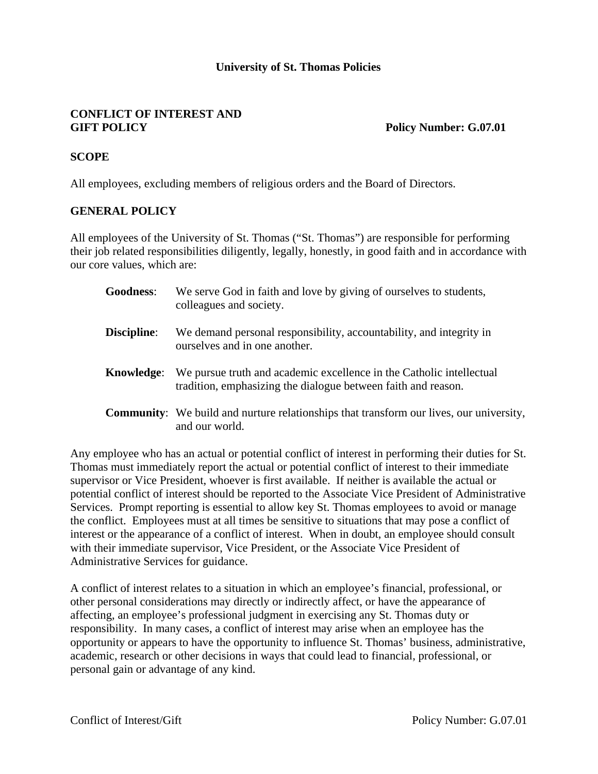### **University of St. Thomas Policies**

#### **CONFLICT OF INTEREST AND GIFT POLICY Policy Number: G.07.01**

### **SCOPE**

All employees, excluding members of religious orders and the Board of Directors.

#### **GENERAL POLICY**

All employees of the University of St. Thomas ("St. Thomas") are responsible for performing their job related responsibilities diligently, legally, honestly, in good faith and in accordance with our core values, which are:

| <b>Goodness:</b>   | We serve God in faith and love by giving of ourselves to students,<br>colleagues and society.                                         |
|--------------------|---------------------------------------------------------------------------------------------------------------------------------------|
| <b>Discipline:</b> | We demand personal responsibility, accountability, and integrity in<br>ourselves and in one another.                                  |
| Knowledge:         | We pursue truth and academic excellence in the Catholic intellectual<br>tradition, emphasizing the dialogue between faith and reason. |
|                    | <b>Community:</b> We build and nurture relationships that transform our lives, our university,<br>and our world.                      |

Any employee who has an actual or potential conflict of interest in performing their duties for St. Thomas must immediately report the actual or potential conflict of interest to their immediate supervisor or Vice President, whoever is first available. If neither is available the actual or potential conflict of interest should be reported to the Associate Vice President of Administrative Services. Prompt reporting is essential to allow key St. Thomas employees to avoid or manage the conflict. Employees must at all times be sensitive to situations that may pose a conflict of interest or the appearance of a conflict of interest. When in doubt, an employee should consult with their immediate supervisor, Vice President, or the Associate Vice President of Administrative Services for guidance.

A conflict of interest relates to a situation in which an employee's financial, professional, or other personal considerations may directly or indirectly affect, or have the appearance of affecting, an employee's professional judgment in exercising any St. Thomas duty or responsibility. In many cases, a conflict of interest may arise when an employee has the opportunity or appears to have the opportunity to influence St. Thomas' business, administrative, academic, research or other decisions in ways that could lead to financial, professional, or personal gain or advantage of any kind.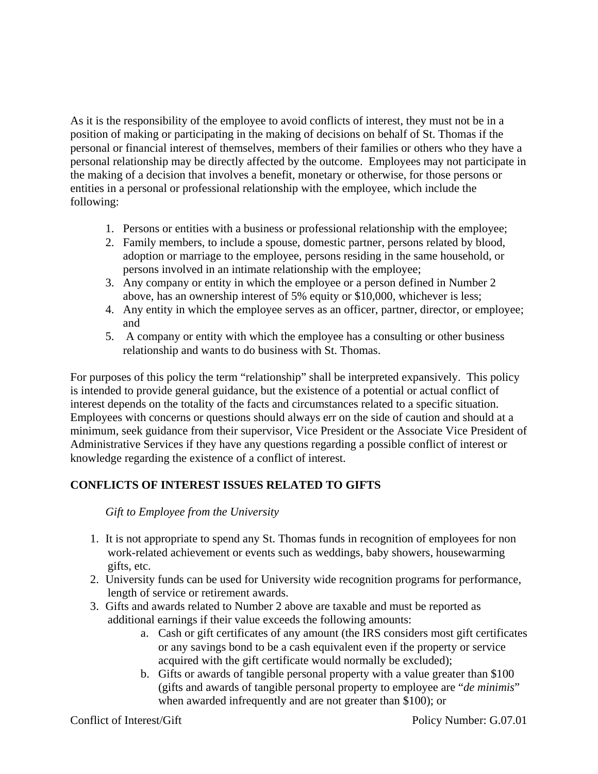As it is the responsibility of the employee to avoid conflicts of interest, they must not be in a position of making or participating in the making of decisions on behalf of St. Thomas if the personal or financial interest of themselves, members of their families or others who they have a personal relationship may be directly affected by the outcome. Employees may not participate in the making of a decision that involves a benefit, monetary or otherwise, for those persons or entities in a personal or professional relationship with the employee, which include the following:

- 1. Persons or entities with a business or professional relationship with the employee;
- 2. Family members, to include a spouse, domestic partner, persons related by blood, adoption or marriage to the employee, persons residing in the same household, or persons involved in an intimate relationship with the employee;
- 3. Any company or entity in which the employee or a person defined in Number 2 above, has an ownership interest of 5% equity or \$10,000, whichever is less;
- 4. Any entity in which the employee serves as an officer, partner, director, or employee; and
- 5. A company or entity with which the employee has a consulting or other business relationship and wants to do business with St. Thomas.

For purposes of this policy the term "relationship" shall be interpreted expansively. This policy is intended to provide general guidance, but the existence of a potential or actual conflict of interest depends on the totality of the facts and circumstances related to a specific situation. Employees with concerns or questions should always err on the side of caution and should at a minimum, seek guidance from their supervisor, Vice President or the Associate Vice President of Administrative Services if they have any questions regarding a possible conflict of interest or knowledge regarding the existence of a conflict of interest.

# **CONFLICTS OF INTEREST ISSUES RELATED TO GIFTS**

#### *Gift to Employee from the University*

- 1. It is not appropriate to spend any St. Thomas funds in recognition of employees for non work-related achievement or events such as weddings, baby showers, housewarming gifts, etc.
- 2. University funds can be used for University wide recognition programs for performance, length of service or retirement awards.
- 3. Gifts and awards related to Number 2 above are taxable and must be reported as additional earnings if their value exceeds the following amounts:
	- a. Cash or gift certificates of any amount (the IRS considers most gift certificates or any savings bond to be a cash equivalent even if the property or service acquired with the gift certificate would normally be excluded);
	- b. Gifts or awards of tangible personal property with a value greater than \$100 (gifts and awards of tangible personal property to employee are "*de minimis*" when awarded infrequently and are not greater than \$100); or

Conflict of Interest/Gift Policy Number: G.07.01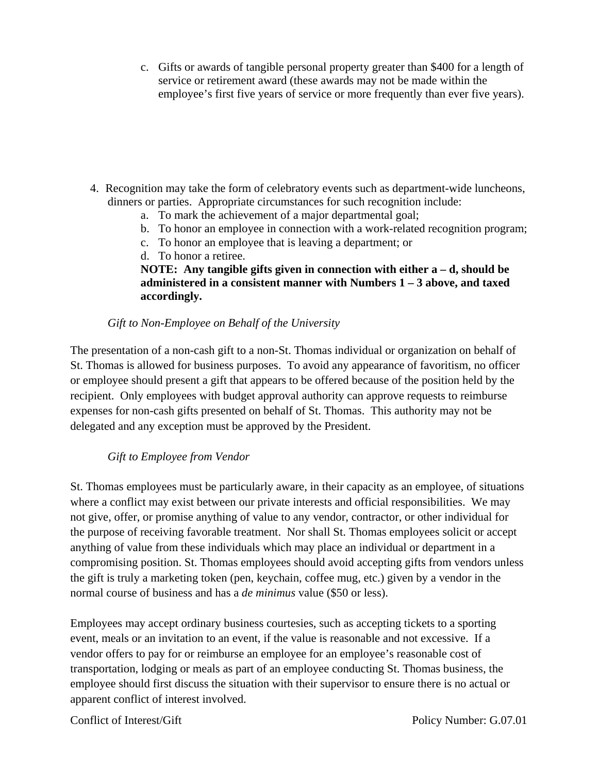c. Gifts or awards of tangible personal property greater than \$400 for a length of service or retirement award (these awards may not be made within the employee's first five years of service or more frequently than ever five years).

- 4. Recognition may take the form of celebratory events such as department-wide luncheons, dinners or parties. Appropriate circumstances for such recognition include:
	- a. To mark the achievement of a major departmental goal;
	- b. To honor an employee in connection with a work-related recognition program;
	- c. To honor an employee that is leaving a department; or
	- d. To honor a retiree.

# **NOTE: Any tangible gifts given in connection with either a – d, should be administered in a consistent manner with Numbers 1 – 3 above, and taxed accordingly.**

# *Gift to Non-Employee on Behalf of the University*

The presentation of a non-cash gift to a non-St. Thomas individual or organization on behalf of St. Thomas is allowed for business purposes. To avoid any appearance of favoritism, no officer or employee should present a gift that appears to be offered because of the position held by the recipient. Only employees with budget approval authority can approve requests to reimburse expenses for non-cash gifts presented on behalf of St. Thomas. This authority may not be delegated and any exception must be approved by the President.

# *Gift to Employee from Vendor*

St. Thomas employees must be particularly aware, in their capacity as an employee, of situations where a conflict may exist between our private interests and official responsibilities. We may not give, offer, or promise anything of value to any vendor, contractor, or other individual for the purpose of receiving favorable treatment. Nor shall St. Thomas employees solicit or accept anything of value from these individuals which may place an individual or department in a compromising position. St. Thomas employees should avoid accepting gifts from vendors unless the gift is truly a marketing token (pen, keychain, coffee mug, etc.) given by a vendor in the normal course of business and has a *de minimus* value (\$50 or less).

Employees may accept ordinary business courtesies, such as accepting tickets to a sporting event, meals or an invitation to an event, if the value is reasonable and not excessive. If a vendor offers to pay for or reimburse an employee for an employee's reasonable cost of transportation, lodging or meals as part of an employee conducting St. Thomas business, the employee should first discuss the situation with their supervisor to ensure there is no actual or apparent conflict of interest involved.